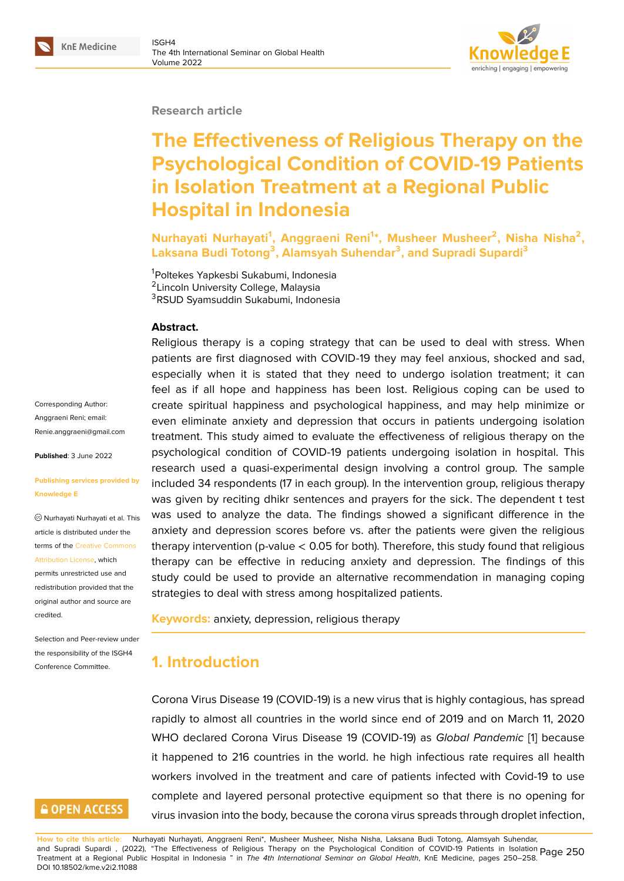

#### **Research article**

# **The Effectiveness of Religious Therapy on the Psychological Condition of COVID-19 Patients in Isolation Treatment at a Regional Public Hospital in Indonesia**

**Nurhayati Nurhayati<sup>1</sup> , Anggraeni Reni<sup>1</sup> \*, Musheer Musheer<sup>2</sup> , Nisha Nisha<sup>2</sup> , Laksana Budi Totong<sup>3</sup> , Alamsyah Suhendar<sup>3</sup> , and Supradi Supardi<sup>3</sup>**

<sup>1</sup>Poltekes Yapkesbi Sukabumi, Indonesia <sup>2</sup> Lincoln University College, Malaysia <sup>3</sup>RSUD Syamsuddin Sukabumi, Indonesia

#### **Abstract.**

Religious therapy is a coping strategy that can be used to deal with stress. When patients are first diagnosed with COVID-19 they may feel anxious, shocked and sad, especially when it is stated that they need to undergo isolation treatment; it can feel as if all hope and happiness has been lost. Religious coping can be used to create spiritual happiness and psychological happiness, and may help minimize or even eliminate anxiety and depression that occurs in patients undergoing isolation treatment. This study aimed to evaluate the effectiveness of religious therapy on the psychological condition of COVID-19 patients undergoing isolation in hospital. This research used a quasi-experimental design involving a control group. The sample included 34 respondents (17 in each group). In the intervention group, religious therapy was given by reciting dhikr sentences and prayers for the sick. The dependent t test was used to analyze the data. The findings showed a significant difference in the anxiety and depression scores before vs. after the patients were given the religious therapy intervention (p-value < 0.05 for both). Therefore, this study found that religious therapy can be effective in reducing anxiety and depression. The findings of this study could be used to provide an alternative recommendation in managing coping strategies to deal with stress among hospitalized patients.

**Keywords:** anxiety, depression, religious therapy

### **1. Introduction**

Corona Virus Disease 19 (COVID-19) is a new virus that is highly contagious, has spread rapidly to almost all countries in the world since end of 2019 and on March 11, 2020 WHO declared Corona Virus Disease 19 (COVID-19) as *Global Pandemic* [1] because it happened to 216 countries in the world. he high infectious rate requires all health workers involved in the treatment and care of patients infected with Covid-19 to use complete and layered personal protective equipment so that there is no [op](#page-7-0)ening for virus invasion into the body, because the corona virus spreads through droplet infection,

Corresponding Author: Anggraeni Reni; email: Renie.anggraeni@gmail.com

**Published**: 3 June 2022

#### **[Publishing services provide](mailto:Renie.anggraeni@gmail.com)d by Knowledge E**

Nurhayati Nurhayati et al. This article is distributed under the terms of the Creative Commons Attribution License, which

permits unrestricted use and redistribution provided that the original auth[or and source are](https://creativecommons.org/licenses/by/4.0/) [credited.](https://creativecommons.org/licenses/by/4.0/)

Selection and Peer-review under the responsibility of the ISGH4 Conference Committee.

### **GOPEN ACCESS**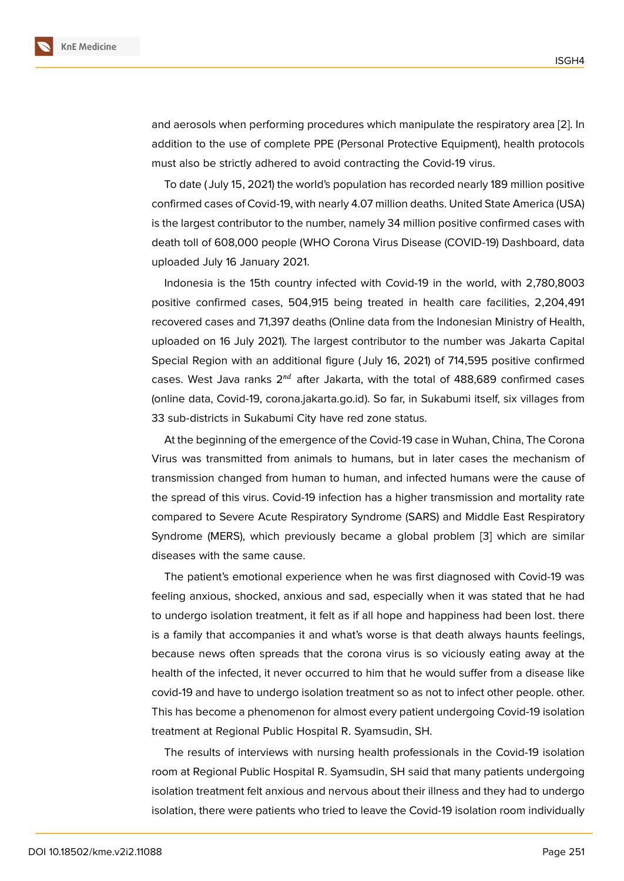and aerosols when performing procedures which manipulate the respiratory area [2]. In addition to the use of complete PPE (Personal Protective Equipment), health protocols must also be strictly adhered to avoid contracting the Covid-19 virus.

To date ( July 15, 2021) the world's population has recorded nearly 189 million po[sit](#page-7-1)ive confirmed cases of Covid-19, with nearly 4.07 million deaths. United State America (USA) is the largest contributor to the number, namely 34 million positive confirmed cases with death toll of 608,000 people (WHO Corona Virus Disease (COVID-19) Dashboard, data uploaded July 16 January 2021.

Indonesia is the 15th country infected with Covid-19 in the world, with 2,780,8003 positive confirmed cases, 504,915 being treated in health care facilities, 2,204,491 recovered cases and 71,397 deaths (Online data from the Indonesian Ministry of Health, uploaded on 16 July 2021). The largest contributor to the number was Jakarta Capital Special Region with an additional figure ( July 16, 2021) of 714,595 positive confirmed cases. West Java ranks  $2^{nd}$  after Jakarta, with the total of 488,689 confirmed cases (online data, Covid-19, corona.jakarta.go.id). So far, in Sukabumi itself, six villages from 33 sub-districts in Sukabumi City have red zone status.

At the beginning of the emergence of the Covid-19 case in Wuhan, China, The Corona Virus was transmitted from animals to humans, but in later cases the mechanism of transmission changed from human to human, and infected humans were the cause of the spread of this virus. Covid-19 infection has a higher transmission and mortality rate compared to Severe Acute Respiratory Syndrome (SARS) and Middle East Respiratory Syndrome (MERS), which previously became a global problem [3] which are similar diseases with the same cause.

The patient's emotional experience when he was first diagnosed with Covid-19 was feeling anxious, shocked, anxious and sad, especially when it wa[s](#page-7-2) stated that he had to undergo isolation treatment, it felt as if all hope and happiness had been lost. there is a family that accompanies it and what's worse is that death always haunts feelings, because news often spreads that the corona virus is so viciously eating away at the health of the infected, it never occurred to him that he would suffer from a disease like covid-19 and have to undergo isolation treatment so as not to infect other people. other. This has become a phenomenon for almost every patient undergoing Covid-19 isolation treatment at Regional Public Hospital R. Syamsudin, SH.

The results of interviews with nursing health professionals in the Covid-19 isolation room at Regional Public Hospital R. Syamsudin, SH said that many patients undergoing isolation treatment felt anxious and nervous about their illness and they had to undergo isolation, there were patients who tried to leave the Covid-19 isolation room individually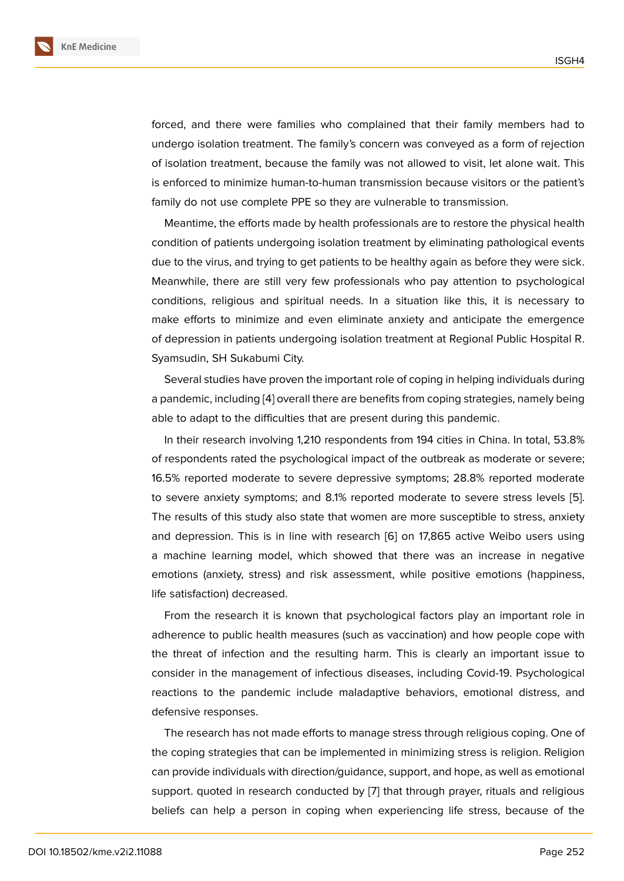forced, and there were families who complained that their family members had to undergo isolation treatment. The family's concern was conveyed as a form of rejection of isolation treatment, because the family was not allowed to visit, let alone wait. This is enforced to minimize human-to-human transmission because visitors or the patient's family do not use complete PPE so they are vulnerable to transmission.

Meantime, the efforts made by health professionals are to restore the physical health condition of patients undergoing isolation treatment by eliminating pathological events due to the virus, and trying to get patients to be healthy again as before they were sick. Meanwhile, there are still very few professionals who pay attention to psychological conditions, religious and spiritual needs. In a situation like this, it is necessary to make efforts to minimize and even eliminate anxiety and anticipate the emergence of depression in patients undergoing isolation treatment at Regional Public Hospital R. Syamsudin, SH Sukabumi City.

Several studies have proven the important role of coping in helping individuals during a pandemic, including [4] overall there are benefits from coping strategies, namely being able to adapt to the difficulties that are present during this pandemic.

In their research involving 1,210 respondents from 194 cities in China. In total, 53.8% of respondents rated t[he](#page-7-3) psychological impact of the outbreak as moderate or severe; 16.5% reported moderate to severe depressive symptoms; 28.8% reported moderate to severe anxiety symptoms; and 8.1% reported moderate to severe stress levels [5]. The results of this study also state that women are more susceptible to stress, anxiety and depression. This is in line with research [6] on 17,865 active Weibo users using a machine learning model, which showed that there was an increase in negati[ve](#page-7-4) emotions (anxiety, stress) and risk assessment, while positive emotions (happiness, life satisfaction) decreased.

From the research it is known that psychological factors play an important role in adherence to public health measures (such as vaccination) and how people cope with the threat of infection and the resulting harm. This is clearly an important issue to consider in the management of infectious diseases, including Covid-19. Psychological reactions to the pandemic include maladaptive behaviors, emotional distress, and defensive responses.

The research has not made efforts to manage stress through religious coping. One of the coping strategies that can be implemented in minimizing stress is religion. Religion can provide individuals with direction/guidance, support, and hope, as well as emotional support. quoted in research conducted by [7] that through prayer, rituals and religious beliefs can help a person in coping when experiencing life stress, because of the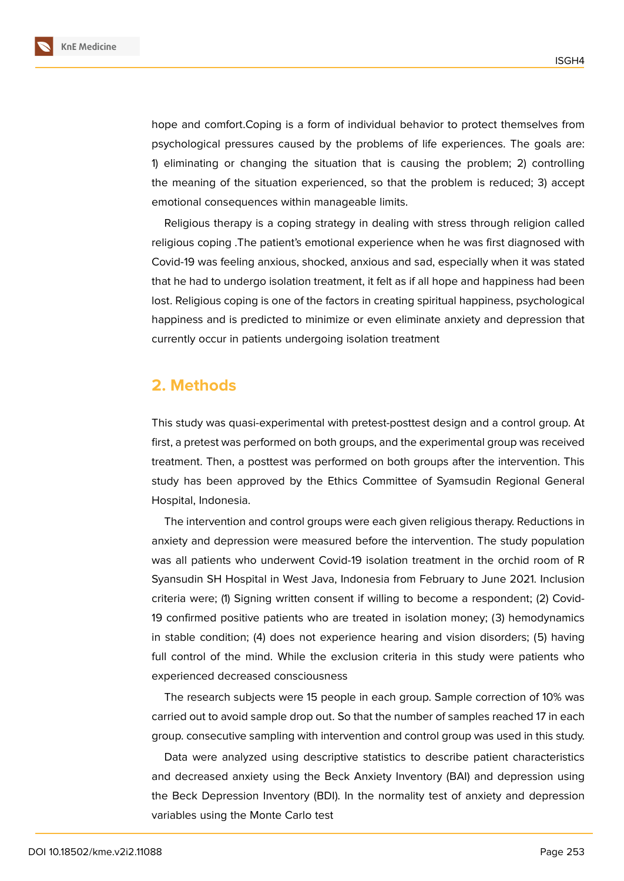

**KnE Medicine**

hope and comfort.Coping is a form of individual behavior to protect themselves from psychological pressures caused by the problems of life experiences. The goals are: 1) eliminating or changing the situation that is causing the problem; 2) controlling the meaning of the situation experienced, so that the problem is reduced; 3) accept emotional consequences within manageable limits.

Religious therapy is a coping strategy in dealing with stress through religion called religious coping .The patient's emotional experience when he was first diagnosed with Covid-19 was feeling anxious, shocked, anxious and sad, especially when it was stated that he had to undergo isolation treatment, it felt as if all hope and happiness had been lost. Religious coping is one of the factors in creating spiritual happiness, psychological happiness and is predicted to minimize or even eliminate anxiety and depression that currently occur in patients undergoing isolation treatment

# **2. Methods**

This study was quasi-experimental with pretest-posttest design and a control group. At first, a pretest was performed on both groups, and the experimental group was received treatment. Then, a posttest was performed on both groups after the intervention. This study has been approved by the Ethics Committee of Syamsudin Regional General Hospital, Indonesia.

The intervention and control groups were each given religious therapy. Reductions in anxiety and depression were measured before the intervention. The study population was all patients who underwent Covid-19 isolation treatment in the orchid room of R Syansudin SH Hospital in West Java, Indonesia from February to June 2021. Inclusion criteria were; (1) Signing written consent if willing to become a respondent; (2) Covid-19 confirmed positive patients who are treated in isolation money; (3) hemodynamics in stable condition; (4) does not experience hearing and vision disorders; (5) having full control of the mind. While the exclusion criteria in this study were patients who experienced decreased consciousness

The research subjects were 15 people in each group. Sample correction of 10% was carried out to avoid sample drop out. So that the number of samples reached 17 in each group. consecutive sampling with intervention and control group was used in this study.

Data were analyzed using descriptive statistics to describe patient characteristics and decreased anxiety using the Beck Anxiety Inventory (BAI) and depression using the Beck Depression Inventory (BDI). In the normality test of anxiety and depression variables using the Monte Carlo test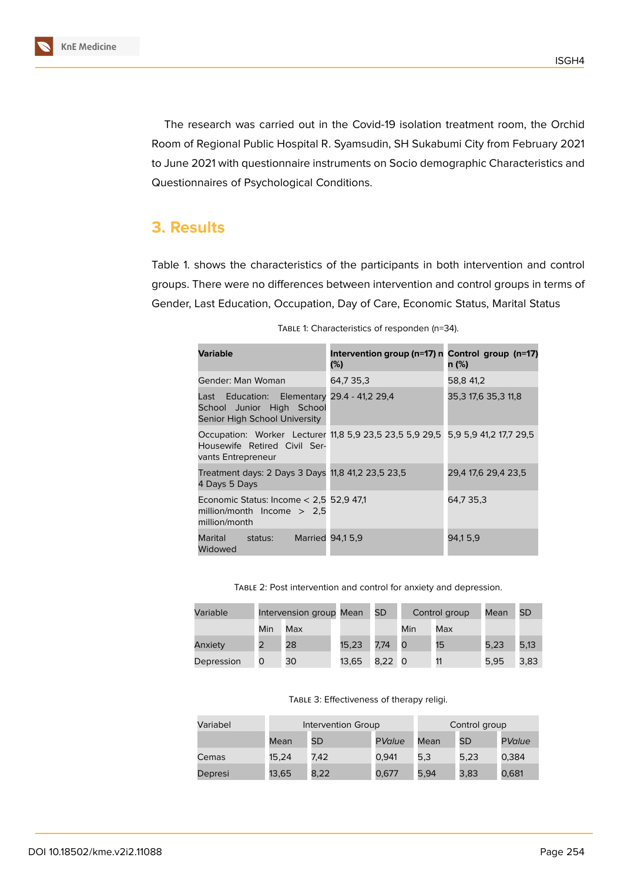

The research was carried out in the Covid-19 isolation treatment room, the Orchid Room of Regional Public Hospital R. Syamsudin, SH Sukabumi City from February 2021 to June 2021 with questionnaire instruments on Socio demographic Characteristics and Questionnaires of Psychological Conditions.

### **3. Results**

Table 1. shows the characteristics of the participants in both intervention and control groups. There were no differences between intervention and control groups in terms of Gender, Last Education, Occupation, Day of Care, Economic Status, Marital Status

| <b>Variable</b>                                                                                                                      | Intervention group (n=17) n Control group (n=17)<br>(%) | n (%)               |  |
|--------------------------------------------------------------------------------------------------------------------------------------|---------------------------------------------------------|---------------------|--|
| Gender: Man Woman                                                                                                                    | 64,7 35,3                                               | 58,8 41,2           |  |
| Last Education: Elementary 29.4 - 41,2 29,4<br>School Junior High School<br>Senior High School University                            |                                                         | 35,3 17,6 35,3 11,8 |  |
| Occupation: Worker Lecturer 11.8 5.9 23.5 23.5 5.9 29.5 5.9 5.9 41.2 17.7 29.5<br>Housewife Retired Civil Ser-<br>vants Entrepreneur |                                                         |                     |  |
| Treatment days: 2 Days 3 Days 11,8 41,2 23,5 23,5<br>4 Days 5 Days                                                                   |                                                         | 29,4 17,6 29,4 23,5 |  |
| Economic Status: Income $< 2.5$ 52.9 47.1<br>million/month Income $> 2.5$<br>million/month                                           |                                                         | 64.7 35.3           |  |
| Marital status: Married 94,15,9<br>Widowed                                                                                           |                                                         | 94,15,9             |  |

| TABLE 1: Characteristics of responden (n=34). |  |  |
|-----------------------------------------------|--|--|
|-----------------------------------------------|--|--|

Table 2: Post intervention and control for anxiety and depression.

| Variable   |     | Intervension group Mean |       | <b>SD</b> |     | Control group | Mean | <b>SD</b> |
|------------|-----|-------------------------|-------|-----------|-----|---------------|------|-----------|
|            | Min | Max                     |       |           | Min | Max           |      |           |
| Anxiety    |     | 28                      | 15,23 | 7,74      | O   | 15            | 5,23 | 5,13      |
| Depression | O   | 30                      | 13,65 | 8,22 0    |     | 11            | 5.95 | 3,83      |

Table 3: Effectiveness of therapy religi.

| Variabel | Intervention Group |           |        | Control group |      |        |
|----------|--------------------|-----------|--------|---------------|------|--------|
|          | Mean               | <b>SD</b> | PValue | Mean          | SD   | PValue |
| Cemas    | 15.24              | 7.42      | 0.941  | 5,3           | 5,23 | 0,384  |
| Depresi  | 13,65              | 8,22      | 0.677  | 5,94          | 3,83 | 0,681  |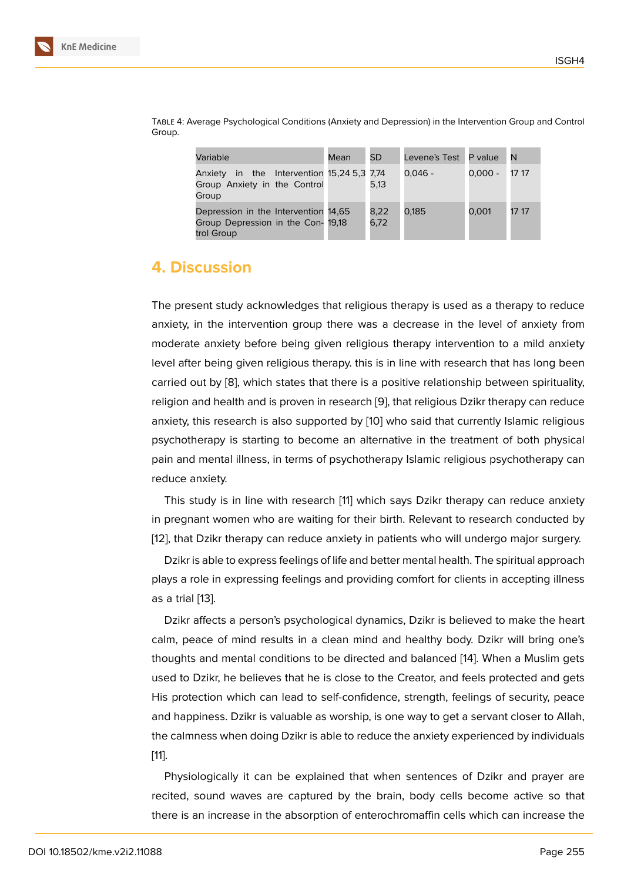| Variable                                                                                 | Mean | <b>SD</b>    | Levene's Test P value |           | l N   |
|------------------------------------------------------------------------------------------|------|--------------|-----------------------|-----------|-------|
| Anxiety in the Intervention 15,24 5,3 7,74<br>Group Anxiety in the Control<br>Group      |      | 5.13         | 0.046 -               | $0.000 -$ | 17 17 |
| Depression in the Intervention 14,65<br>Group Depression in the Con- 19,18<br>trol Group |      | 8.22<br>6,72 | 0.185                 | 0.001     | 17 17 |

Table 4: Average Psychological Conditions (Anxiety and Depression) in the Intervention Group and Control Group.

## **4. Discussion**

The present study acknowledges that religious therapy is used as a therapy to reduce anxiety, in the intervention group there was a decrease in the level of anxiety from moderate anxiety before being given religious therapy intervention to a mild anxiety level after being given religious therapy. this is in line with research that has long been carried out by [8], which states that there is a positive relationship between spirituality, religion and health and is proven in research [9], that religious Dzikr therapy can reduce anxiety, this research is also supported by [10] who said that currently Islamic religious psychotherapy [is](#page-7-5) starting to become an alternative in the treatment of both physical pain and mental illness, in terms of psychoth[er](#page-7-6)apy Islamic religious psychotherapy can reduce anxiety.

This study is in line with research [11] which says Dzikr therapy can reduce anxiety in pregnant women who are waiting for their birth. Relevant to research conducted by [12], that Dzikr therapy can reduce anxiety in patients who will undergo major surgery.

Dzikr is able to express feelings of lif[e a](#page-7-7)nd better mental health. The spiritual approach plays a role in expressing feelings and providing comfort for clients in accepting illness [as](#page-8-0) a trial [13].

Dzikr affects a person's psychological dynamics, Dzikr is believed to make the heart calm, peace of mind results in a clean mind and healthy body. Dzikr will bring one's thoughts [an](#page-8-1)d mental conditions to be directed and balanced [14]. When a Muslim gets used to Dzikr, he believes that he is close to the Creator, and feels protected and gets His protection which can lead to self-confidence, strength, feelings of security, peace and happiness. Dzikr is valuable as worship, is one way to get [a s](#page-8-2)ervant closer to Allah, the calmness when doing Dzikr is able to reduce the anxiety experienced by individuals [11].

Physiologically it can be explained that when sentences of Dzikr and prayer are recited, sound waves are captured by the brain, body cells become active so that [the](#page-7-7)re is an increase in the absorption of enterochromaffin cells which can increase the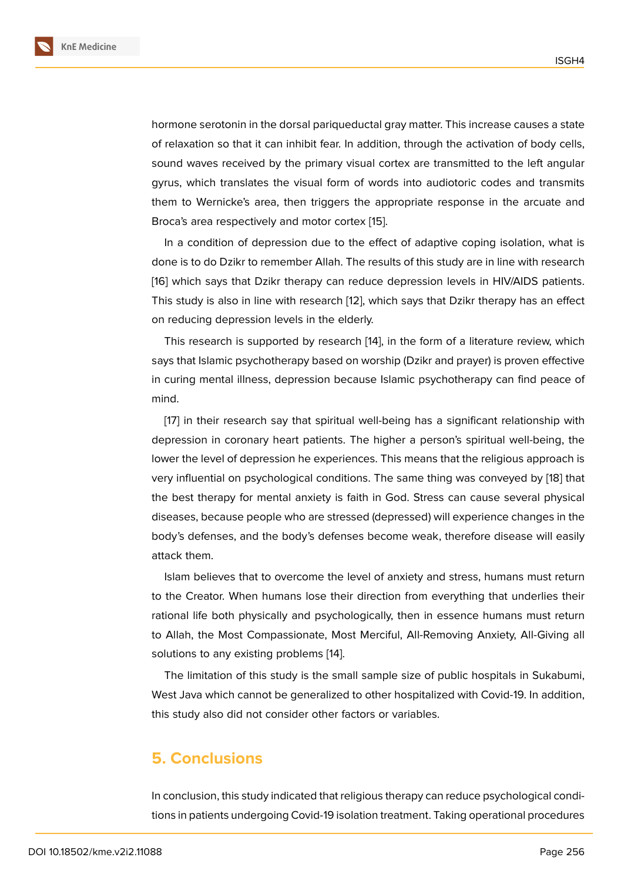hormone serotonin in the dorsal pariqueductal gray matter. This increase causes a state of relaxation so that it can inhibit fear. In addition, through the activation of body cells, sound waves received by the primary visual cortex are transmitted to the left angular gyrus, which translates the visual form of words into audiotoric codes and transmits them to Wernicke's area, then triggers the appropriate response in the arcuate and Broca's area respectively and motor cortex [15].

In a condition of depression due to the effect of adaptive coping isolation, what is done is to do Dzikr to remember Allah. The results of this study are in line with research [16] which says that Dzikr therapy can redu[ce](#page-8-3) depression levels in HIV/AIDS patients. This study is also in line with research [12], which says that Dzikr therapy has an effect on reducing depression levels in the elderly.

[T](#page-8-4)his research is supported by research [14], in the form of a literature review, which says that Islamic psychotherapy based [on](#page-8-0) worship (Dzikr and prayer) is proven effective in curing mental illness, depression because Islamic psychotherapy can find peace of mind.

[17] in their research say that spiritual well-being has a significant relationship with depression in coronary heart patients. The higher a person's spiritual well-being, the lower the level of depression he experiences. This means that the religious approach is ver[y i](#page-8-5)nfluential on psychological conditions. The same thing was conveyed by [18] that the best therapy for mental anxiety is faith in God. Stress can cause several physical diseases, because people who are stressed (depressed) will experience changes in the body's defenses, and the body's defenses become weak, therefore disease wi[ll e](#page-8-6)asily attack them.

Islam believes that to overcome the level of anxiety and stress, humans must return to the Creator. When humans lose their direction from everything that underlies their rational life both physically and psychologically, then in essence humans must return to Allah, the Most Compassionate, Most Merciful, All-Removing Anxiety, All-Giving all solutions to any existing problems [14].

The limitation of this study is the small sample size of public hospitals in Sukabumi, West Java which cannot be generalized to other hospitalized with Covid-19. In addition, this study also did not consider oth[er](#page-8-2) factors or variables.

#### **5. Conclusions**

In conclusion, this study indicated that religious therapy can reduce psychological conditions in patients undergoing Covid-19 isolation treatment. Taking operational procedures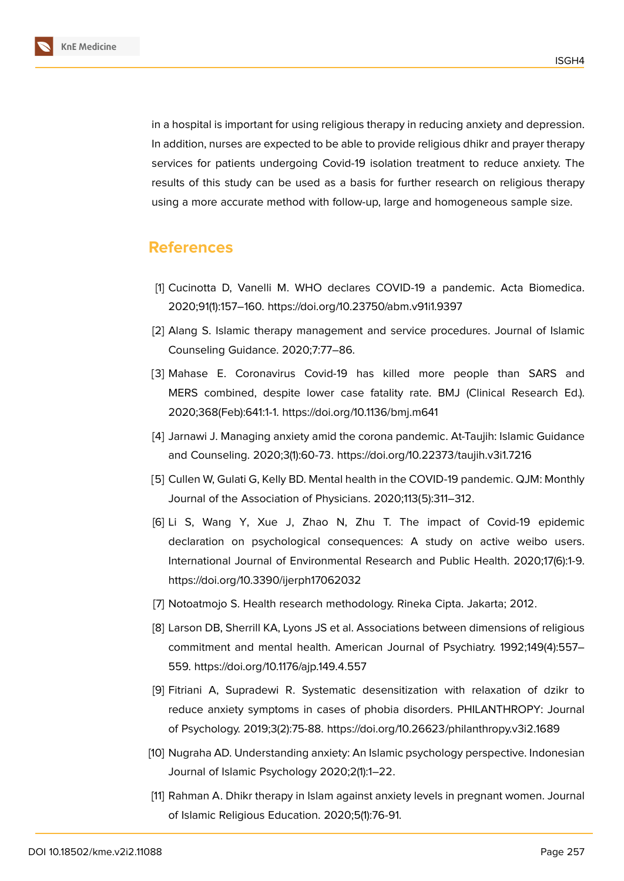**KnE Medicine**

in a hospital is important for using religious therapy in reducing anxiety and depression. In addition, nurses are expected to be able to provide religious dhikr and prayer therapy services for patients undergoing Covid-19 isolation treatment to reduce anxiety. The results of this study can be used as a basis for further research on religious therapy using a more accurate method with follow-up, large and homogeneous sample size.

# **References**

- <span id="page-7-0"></span>[1] Cucinotta D, Vanelli M. WHO declares COVID-19 a pandemic. Acta Biomedica. 2020;91(1):157–160. https://doi.org/10.23750/abm.v91i1.9397
- <span id="page-7-1"></span>[2] Alang S. Islamic therapy management and service procedures. Journal of Islamic Counseling Guidance. 2020;7:77–86.
- <span id="page-7-2"></span>[3] Mahase E. Coronavirus Covid-19 has killed more people than SARS and MERS combined, despite lower case fatality rate. BMJ (Clinical Research Ed.). 2020;368(Feb):641:1-1. https://doi.org/10.1136/bmj.m641
- <span id="page-7-3"></span>[4] Jarnawi J. Managing anxiety amid the corona pandemic. At-Taujih: Islamic Guidance and Counseling. 2020;3(1):60-73. https://doi.org/10.22373/taujih.v3i1.7216
- <span id="page-7-4"></span>[5] Cullen W, Gulati G, Kelly BD. Mental health in the COVID-19 pandemic. QJM: Monthly Journal of the Association of Physicians. 2020;113(5):311–312.
- [6] Li S, Wang Y, Xue J, Zhao N, Zhu T. The impact of Covid-19 epidemic declaration on psychological consequences: A study on active weibo users. International Journal of Environmental Research and Public Health. 2020;17(6):1-9. https://doi.org/10.3390/ijerph17062032
- [7] Notoatmojo S. Health research methodology. Rineka Cipta. Jakarta; 2012.
- <span id="page-7-5"></span>[8] Larson DB, Sherrill KA, Lyons JS et al. Associations between dimensions of religious commitment and mental health. American Journal of Psychiatry. 1992;149(4):557– 559. https://doi.org/10.1176/ajp.149.4.557
- <span id="page-7-6"></span>[9] Fitriani A, Supradewi R. Systematic desensitization with relaxation of dzikr to reduce anxiety symptoms in cases of phobia disorders. PHILANTHROPY: Journal of Psychology. 2019;3(2):75-88. https://doi.org/10.26623/philanthropy.v3i2.1689
- [10] Nugraha AD. Understanding anxiety: An Islamic psychology perspective. Indonesian Journal of Islamic Psychology 2020;2(1):1–22.
- <span id="page-7-7"></span>[11] Rahman A. Dhikr therapy in Islam against anxiety levels in pregnant women. Journal of Islamic Religious Education. 2020;5(1):76-91.